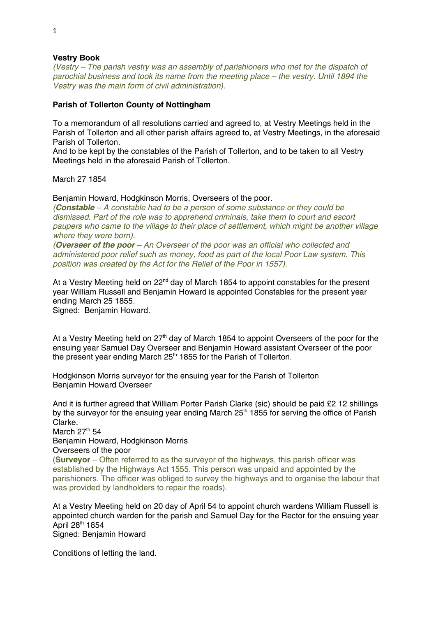## **Vestry Book**

*(Vestry – The parish vestry was an assembly of parishioners who met for the dispatch of parochial business and took its name from the meeting place – the vestry. Until 1894 the Vestry was the main form of civil administration).* 

## **Parish of Tollerton County of Nottingham**

To a memorandum of all resolutions carried and agreed to, at Vestry Meetings held in the Parish of Tollerton and all other parish affairs agreed to, at Vestry Meetings, in the aforesaid Parish of Tollerton.

And to be kept by the constables of the Parish of Tollerton, and to be taken to all Vestry Meetings held in the aforesaid Parish of Tollerton.

March 27 1854

Benjamin Howard, Hodgkinson Morris, Overseers of the poor.

*(Constable – A constable had to be a person of some substance or they could be dismissed. Part of the role was to apprehend criminals, take them to court and escort paupers who came to the village to their place of settlement, which might be another village where they were born).* 

*(Overseer of the poor – An Overseer of the poor was an official who collected and administered poor relief such as money, food as part of the local Poor Law system. This position was created by the Act for the Relief of the Poor in 1557).* 

At a Vestry Meeting held on 22<sup>nd</sup> day of March 1854 to appoint constables for the present year William Russell and Benjamin Howard is appointed Constables for the present year ending March 25 1855.

Signed: Benjamin Howard.

At a Vestry Meeting held on  $27<sup>th</sup>$  day of March 1854 to appoint Overseers of the poor for the ensuing year Samuel Day Overseer and Benjamin Howard assistant Overseer of the poor the present year ending March  $25<sup>th</sup>$  1855 for the Parish of Tollerton.

Hodgkinson Morris surveyor for the ensuing year for the Parish of Tollerton Benjamin Howard Overseer

And it is further agreed that William Porter Parish Clarke (sic) should be paid £2 12 shillings by the surveyor for the ensuing year ending March  $25<sup>th</sup>$  1855 for serving the office of Parish Clarke.

March  $27<sup>th</sup> 54$ Benjamin Howard, Hodgkinson Morris

Overseers of the poor

(**Surveyor** – Often referred to as the surveyor of the highways, this parish officer was established by the Highways Act 1555. This person was unpaid and appointed by the parishioners. The officer was obliged to survey the highways and to organise the labour that was provided by landholders to repair the roads).

At a Vestry Meeting held on 20 day of April 54 to appoint church wardens William Russell is appointed church warden for the parish and Samuel Day for the Rector for the ensuing year April 28th 1854 Signed: Benjamin Howard

Conditions of letting the land.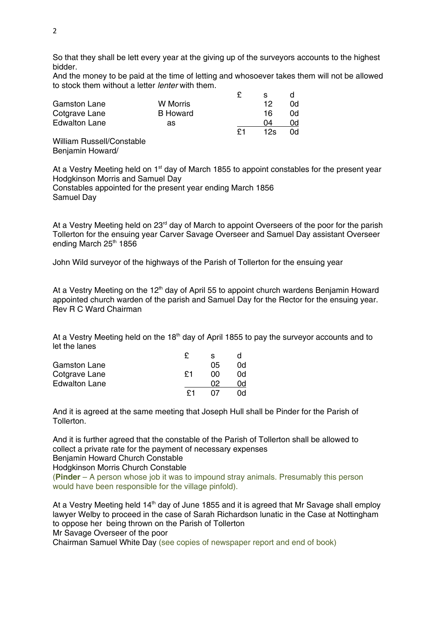So that they shall be lett every year at the giving up of the surveyors accounts to the highest bidder.

And the money to be paid at the time of letting and whosoever takes them will not be allowed to stock them without a letter *lenter* with them.

|                      |                 |    | s   |    |
|----------------------|-----------------|----|-----|----|
| <b>Gamston Lane</b>  | W Morris        |    | 12  | 0q |
| Cotgrave Lane        | <b>B</b> Howard |    | 16  | 0q |
| <b>Edwalton Lane</b> | as              |    | 04  | 0q |
|                      |                 | £1 | 12s | 0d |
| $M\ddot{\text{d}}$   |                 |    |     |    |

William Russell/Constable Benjamin Howard/

At a Vestry Meeting held on  $1<sup>st</sup>$  day of March 1855 to appoint constables for the present year Hodgkinson Morris and Samuel Day

Constables appointed for the present year ending March 1856 Samuel Day

At a Vestry Meeting held on 23<sup>rd</sup> day of March to appoint Overseers of the poor for the parish Tollerton for the ensuing year Carver Savage Overseer and Samuel Day assistant Overseer ending March 25<sup>th</sup> 1856

John Wild surveyor of the highways of the Parish of Tollerton for the ensuing year

At a Vestry Meeting on the 12<sup>th</sup> day of April 55 to appoint church wardens Benjamin Howard appointed church warden of the parish and Samuel Day for the Rector for the ensuing year. Rev R C Ward Chairman

At a Vestry Meeting held on the 18<sup>th</sup> day of April 1855 to pay the surveyor accounts and to let the lanes

|                      |    | s  |    |
|----------------------|----|----|----|
| <b>Gamston Lane</b>  |    | 05 | 0d |
| Cotgrave Lane        | ۴1 | იი | 0d |
| <b>Edwalton Lane</b> |    | በጋ | ωq |
|                      |    |    | ωq |

And it is agreed at the same meeting that Joseph Hull shall be Pinder for the Parish of Tollerton.

And it is further agreed that the constable of the Parish of Tollerton shall be allowed to collect a private rate for the payment of necessary expenses Benjamin Howard Church Constable

Hodgkinson Morris Church Constable

(**Pinder** – A person whose job it was to impound stray animals. Presumably this person would have been responsible for the village pinfold).

At a Vestry Meeting held 14<sup>th</sup> day of June 1855 and it is agreed that Mr Savage shall employ lawyer Welby to proceed in the case of Sarah Richardson lunatic in the Case at Nottingham to oppose her being thrown on the Parish of Tollerton

Mr Savage Overseer of the poor

Chairman Samuel White Day (see copies of newspaper report and end of book)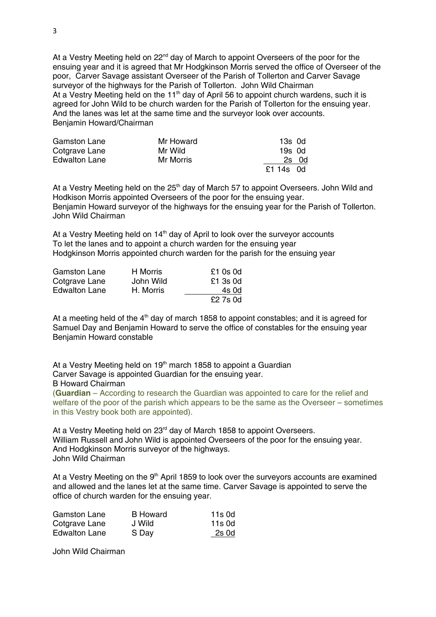At a Vestry Meeting held on 22<sup>nd</sup> day of March to appoint Overseers of the poor for the ensuing year and it is agreed that Mr Hodgkinson Morris served the office of Overseer of the poor, Carver Savage assistant Overseer of the Parish of Tollerton and Carver Savage surveyor of the highways for the Parish of Tollerton. John Wild Chairman At a Vestry Meeting held on the 11<sup>th</sup> day of April 56 to appoint church wardens, such it is agreed for John Wild to be church warden for the Parish of Tollerton for the ensuing year. And the lanes was let at the same time and the surveyor look over accounts. Benjamin Howard/Chairman

| <b>Gamston Lane</b>  | Mr Howard | 13s 0d    |
|----------------------|-----------|-----------|
| Cotgrave Lane        | Mr Wild   | 19s 0d    |
| <b>Edwalton Lane</b> | Mr Morris | 2s 0d     |
|                      |           | £1 14s 0d |

At a Vestry Meeting held on the  $25<sup>th</sup>$  day of March 57 to appoint Overseers. John Wild and Hodkison Morris appointed Overseers of the poor for the ensuing year. Benjamin Howard surveyor of the highways for the ensuing year for the Parish of Tollerton. John Wild Chairman

At a Vestry Meeting held on 14<sup>th</sup> day of April to look over the surveyor accounts To let the lanes and to appoint a church warden for the ensuing year Hodgkinson Morris appointed church warden for the parish for the ensuing year

| <b>Gamston Lane</b>  | H Morris  | $£1$ 0s 0d |
|----------------------|-----------|------------|
| Cotgrave Lane        | John Wild | $£1$ 3s 0d |
| <b>Edwalton Lane</b> | H. Morris | 4s 0d      |
|                      |           | £2 7s 0d   |

At a meeting held of the  $4<sup>th</sup>$  day of march 1858 to appoint constables; and it is agreed for Samuel Day and Benjamin Howard to serve the office of constables for the ensuing year Benjamin Howard constable

At a Vestry Meeting held on  $19<sup>th</sup>$  march 1858 to appoint a Guardian Carver Savage is appointed Guardian for the ensuing year. B Howard Chairman (**Guardian** – According to research the Guardian was appointed to care for the relief and

welfare of the poor of the parish which appears to be the same as the Overseer – sometimes in this Vestry book both are appointed).

At a Vestry Meeting held on 23<sup>rd</sup> day of March 1858 to appoint Overseers. William Russell and John Wild is appointed Overseers of the poor for the ensuing year. And Hodgkinson Morris surveyor of the highways. John Wild Chairman

At a Vestry Meeting on the  $9<sup>th</sup>$  April 1859 to look over the surveyors accounts are examined and allowed and the lanes let at the same time. Carver Savage is appointed to serve the office of church warden for the ensuing year.

| <b>Gamston Lane</b>  | <b>B</b> Howard | 11s 0d |
|----------------------|-----------------|--------|
| Cotgrave Lane        | J Wild          | 11s 0d |
| <b>Edwalton Lane</b> | S Day           | 2s 0d  |

John Wild Chairman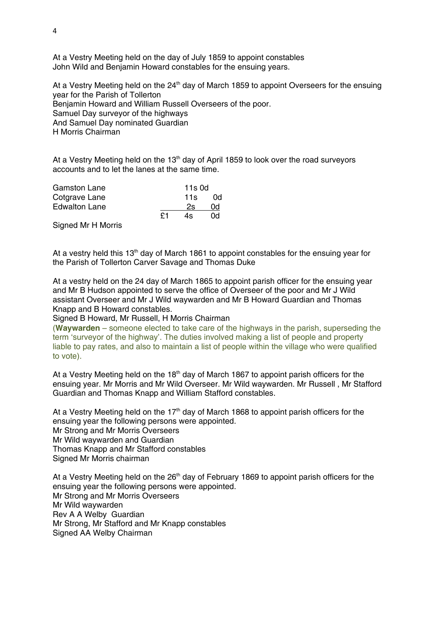At a Vestry Meeting held on the day of July 1859 to appoint constables John Wild and Benjamin Howard constables for the ensuing years.

At a Vestry Meeting held on the  $24<sup>th</sup>$  day of March 1859 to appoint Overseers for the ensuing year for the Parish of Tollerton Benjamin Howard and William Russell Overseers of the poor. Samuel Day surveyor of the highways And Samuel Day nominated Guardian H Morris Chairman

At a Vestry Meeting held on the  $13<sup>th</sup>$  day of April 1859 to look over the road surveyors accounts and to let the lanes at the same time.

| <b>Gamston Lane</b>  |    | 11s 0d |     |
|----------------------|----|--------|-----|
| Cotgrave Lane        |    | 11 $s$ | 0d. |
| <b>Edwalton Lane</b> |    | 2s     | 0d  |
|                      | ۴1 | 4s     | 0q  |

Signed Mr H Morris

At a vestry held this  $13<sup>th</sup>$  day of March 1861 to appoint constables for the ensuing year for the Parish of Tollerton Carver Savage and Thomas Duke

At a vestry held on the 24 day of March 1865 to appoint parish officer for the ensuing year and Mr B Hudson appointed to serve the office of Overseer of the poor and Mr J Wild assistant Overseer and Mr J Wild waywarden and Mr B Howard Guardian and Thomas Knapp and B Howard constables.

Signed B Howard, Mr Russell, H Morris Chairman

(**Waywarden** – someone elected to take care of the highways in the parish, superseding the term 'surveyor of the highway'. The duties involved making a list of people and property liable to pay rates, and also to maintain a list of people within the village who were qualified to vote).

At a Vestry Meeting held on the  $18<sup>th</sup>$  day of March 1867 to appoint parish officers for the ensuing year. Mr Morris and Mr Wild Overseer. Mr Wild waywarden. Mr Russell , Mr Stafford Guardian and Thomas Knapp and William Stafford constables.

At a Vestry Meeting held on the 17<sup>th</sup> day of March 1868 to appoint parish officers for the ensuing year the following persons were appointed. Mr Strong and Mr Morris Overseers Mr Wild waywarden and Guardian Thomas Knapp and Mr Stafford constables Signed Mr Morris chairman

At a Vestry Meeting held on the  $26<sup>th</sup>$  day of February 1869 to appoint parish officers for the ensuing year the following persons were appointed. Mr Strong and Mr Morris Overseers Mr Wild waywarden Rev A A Welby Guardian Mr Strong, Mr Stafford and Mr Knapp constables Signed AA Welby Chairman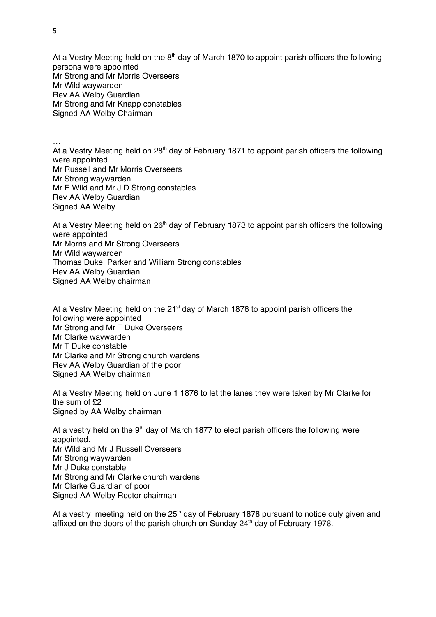At a Vestry Meeting held on the  $8<sup>th</sup>$  day of March 1870 to appoint parish officers the following persons were appointed Mr Strong and Mr Morris Overseers Mr Wild waywarden Rev AA Welby Guardian Mr Strong and Mr Knapp constables Signed AA Welby Chairman

…

At a Vestry Meeting held on  $28<sup>th</sup>$  day of February 1871 to appoint parish officers the following were appointed Mr Russell and Mr Morris Overseers Mr Strong waywarden Mr E Wild and Mr J D Strong constables Rev AA Welby Guardian Signed AA Welby

At a Vestry Meeting held on  $26<sup>th</sup>$  day of February 1873 to appoint parish officers the following were appointed Mr Morris and Mr Strong Overseers Mr Wild waywarden Thomas Duke, Parker and William Strong constables Rev AA Welby Guardian Signed AA Welby chairman

At a Vestry Meeting held on the  $21<sup>st</sup>$  day of March 1876 to appoint parish officers the following were appointed Mr Strong and Mr T Duke Overseers Mr Clarke waywarden Mr T Duke constable Mr Clarke and Mr Strong church wardens Rev AA Welby Guardian of the poor Signed AA Welby chairman

At a Vestry Meeting held on June 1 1876 to let the lanes they were taken by Mr Clarke for the sum of £2 Signed by AA Welby chairman

At a vestry held on the  $9<sup>th</sup>$  day of March 1877 to elect parish officers the following were appointed. Mr Wild and Mr J Russell Overseers Mr Strong waywarden Mr J Duke constable Mr Strong and Mr Clarke church wardens Mr Clarke Guardian of poor Signed AA Welby Rector chairman

At a vestry meeting held on the  $25<sup>th</sup>$  day of February 1878 pursuant to notice duly given and affixed on the doors of the parish church on Sunday 24<sup>th</sup> day of February 1978.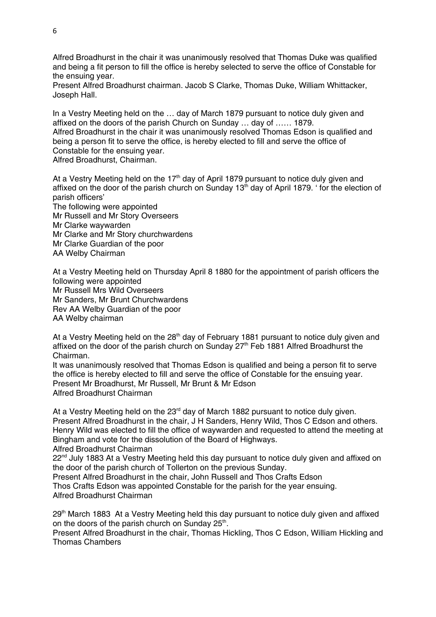Alfred Broadhurst in the chair it was unanimously resolved that Thomas Duke was qualified and being a fit person to fill the office is hereby selected to serve the office of Constable for the ensuing year.

Present Alfred Broadhurst chairman. Jacob S Clarke, Thomas Duke, William Whittacker, Joseph Hall.

In a Vestry Meeting held on the … day of March 1879 pursuant to notice duly given and affixed on the doors of the parish Church on Sunday … day of …… 1879. Alfred Broadhurst in the chair it was unanimously resolved Thomas Edson is qualified and being a person fit to serve the office, is hereby elected to fill and serve the office of Constable for the ensuing year.

Alfred Broadhurst, Chairman.

At a Vestry Meeting held on the  $17<sup>th</sup>$  day of April 1879 pursuant to notice duly given and affixed on the door of the parish church on Sunday  $13<sup>th</sup>$  day of April 1879. ' for the election of parish officers' The following were appointed Mr Russell and Mr Story Overseers Mr Clarke waywarden

Mr Clarke and Mr Story churchwardens Mr Clarke Guardian of the poor AA Welby Chairman

At a Vestry Meeting held on Thursday April 8 1880 for the appointment of parish officers the following were appointed Mr Russell Mrs Wild Overseers Mr Sanders, Mr Brunt Churchwardens Rev AA Welby Guardian of the poor AA Welby chairman

At a Vestry Meeting held on the  $28<sup>th</sup>$  day of February 1881 pursuant to notice duly given and affixed on the door of the parish church on Sunday  $27<sup>th</sup>$  Feb 1881 Alfred Broadhurst the Chairman.

It was unanimously resolved that Thomas Edson is qualified and being a person fit to serve the office is hereby elected to fill and serve the office of Constable for the ensuing year. Present Mr Broadhurst, Mr Russell, Mr Brunt & Mr Edson Alfred Broadhurst Chairman

At a Vestry Meeting held on the 23<sup>rd</sup> day of March 1882 pursuant to notice duly given. Present Alfred Broadhurst in the chair, J H Sanders, Henry Wild, Thos C Edson and others. Henry Wild was elected to fill the office of waywarden and requested to attend the meeting at Bingham and vote for the dissolution of the Board of Highways. Alfred Broadhurst Chairman

 $22<sup>nd</sup>$  July 1883 At a Vestry Meeting held this day pursuant to notice duly given and affixed on the door of the parish church of Tollerton on the previous Sunday.

Present Alfred Broadhurst in the chair, John Russell and Thos Crafts Edson Thos Crafts Edson was appointed Constable for the parish for the year ensuing. Alfred Broadhurst Chairman

 $29<sup>th</sup>$  March 1883 At a Vestry Meeting held this day pursuant to notice duly given and affixed on the doors of the parish church on Sunday  $25<sup>th</sup>$ .

Present Alfred Broadhurst in the chair, Thomas Hickling, Thos C Edson, William Hickling and Thomas Chambers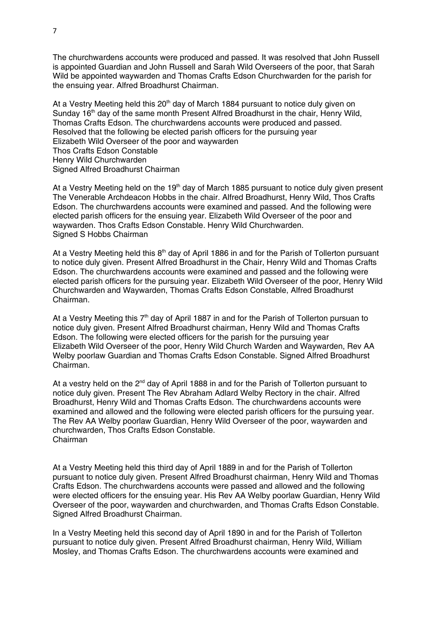The churchwardens accounts were produced and passed. It was resolved that John Russell is appointed Guardian and John Russell and Sarah Wild Overseers of the poor, that Sarah Wild be appointed waywarden and Thomas Crafts Edson Churchwarden for the parish for the ensuing year. Alfred Broadhurst Chairman.

At a Vestry Meeting held this  $20<sup>th</sup>$  day of March 1884 pursuant to notice duly given on Sunday 16<sup>th</sup> day of the same month Present Alfred Broadhurst in the chair. Henry Wild, Thomas Crafts Edson. The churchwardens accounts were produced and passed. Resolved that the following be elected parish officers for the pursuing year Elizabeth Wild Overseer of the poor and waywarden Thos Crafts Edson Constable Henry Wild Churchwarden Signed Alfred Broadhurst Chairman

At a Vestry Meeting held on the 19<sup>th</sup> day of March 1885 pursuant to notice duly given present The Venerable Archdeacon Hobbs in the chair. Alfred Broadhurst, Henry Wild, Thos Crafts Edson. The churchwardens accounts were examined and passed. And the following were elected parish officers for the ensuing year. Elizabeth Wild Overseer of the poor and waywarden. Thos Crafts Edson Constable. Henry Wild Churchwarden. Signed S Hobbs Chairman

At a Vestry Meeting held this  $8<sup>th</sup>$  day of April 1886 in and for the Parish of Tollerton pursuant to notice duly given. Present Alfred Broadhurst in the Chair, Henry Wild and Thomas Crafts Edson. The churchwardens accounts were examined and passed and the following were elected parish officers for the pursuing year. Elizabeth Wild Overseer of the poor, Henry Wild Churchwarden and Waywarden, Thomas Crafts Edson Constable, Alfred Broadhurst Chairman.

At a Vestry Meeting this  $7<sup>th</sup>$  day of April 1887 in and for the Parish of Tollerton pursuan to notice duly given. Present Alfred Broadhurst chairman, Henry Wild and Thomas Crafts Edson. The following were elected officers for the parish for the pursuing year Elizabeth Wild Overseer of the poor, Henry Wild Church Warden and Waywarden, Rev AA Welby poorlaw Guardian and Thomas Crafts Edson Constable. Signed Alfred Broadhurst Chairman.

At a vestry held on the  $2^{nd}$  day of April 1888 in and for the Parish of Tollerton pursuant to notice duly given. Present The Rev Abraham Adlard Welby Rectory in the chair. Alfred Broadhurst, Henry Wild and Thomas Crafts Edson. The churchwardens accounts were examined and allowed and the following were elected parish officers for the pursuing year. The Rev AA Welby poorlaw Guardian, Henry Wild Overseer of the poor, waywarden and churchwarden, Thos Crafts Edson Constable. Chairman

At a Vestry Meeting held this third day of April 1889 in and for the Parish of Tollerton pursuant to notice duly given. Present Alfred Broadhurst chairman, Henry Wild and Thomas Crafts Edson. The churchwardens accounts were passed and allowed and the following were elected officers for the ensuing year. His Rev AA Welby poorlaw Guardian, Henry Wild Overseer of the poor, waywarden and churchwarden, and Thomas Crafts Edson Constable. Signed Alfred Broadhurst Chairman.

In a Vestry Meeting held this second day of April 1890 in and for the Parish of Tollerton pursuant to notice duly given. Present Alfred Broadhurst chairman, Henry Wild, William Mosley, and Thomas Crafts Edson. The churchwardens accounts were examined and